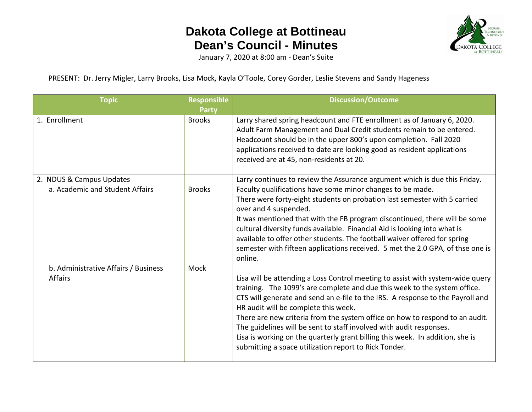

January 7, 2020 at 8:00 am - Dean's Suite

PRESENT: Dr. Jerry Migler, Larry Brooks, Lisa Mock, Kayla O'Toole, Corey Gorder, Leslie Stevens and Sandy Hageness

| <b>Topic</b>                                                | <b>Responsible</b><br><b>Party</b> | <b>Discussion/Outcome</b>                                                                                                                                                                                                                                                                                                                                                                                                                                                                                                                                                              |
|-------------------------------------------------------------|------------------------------------|----------------------------------------------------------------------------------------------------------------------------------------------------------------------------------------------------------------------------------------------------------------------------------------------------------------------------------------------------------------------------------------------------------------------------------------------------------------------------------------------------------------------------------------------------------------------------------------|
| 1. Enrollment                                               | <b>Brooks</b>                      | Larry shared spring headcount and FTE enrollment as of January 6, 2020.<br>Adult Farm Management and Dual Credit students remain to be entered.<br>Headcount should be in the upper 800's upon completion. Fall 2020<br>applications received to date are looking good as resident applications<br>received are at 45, non-residents at 20.                                                                                                                                                                                                                                            |
| 2. NDUS & Campus Updates<br>a. Academic and Student Affairs | <b>Brooks</b>                      | Larry continues to review the Assurance argument which is due this Friday.<br>Faculty qualifications have some minor changes to be made.<br>There were forty-eight students on probation last semester with 5 carried<br>over and 4 suspended.<br>It was mentioned that with the FB program discontinued, there will be some<br>cultural diversity funds available. Financial Aid is looking into what is<br>available to offer other students. The football waiver offered for spring<br>semester with fifteen applications received. 5 met the 2.0 GPA, of thse one is<br>online.    |
| b. Administrative Affairs / Business<br><b>Affairs</b>      | Mock                               | Lisa will be attending a Loss Control meeting to assist with system-wide query<br>training. The 1099's are complete and due this week to the system office.<br>CTS will generate and send an e-file to the IRS. A response to the Payroll and<br>HR audit will be complete this week.<br>There are new criteria from the system office on how to respond to an audit.<br>The guidelines will be sent to staff involved with audit responses.<br>Lisa is working on the quarterly grant billing this week. In addition, she is<br>submitting a space utilization report to Rick Tonder. |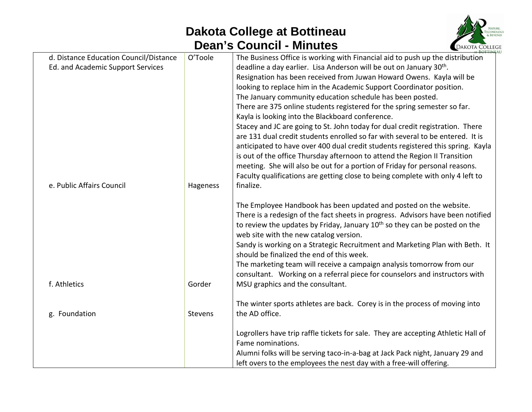

| d. Distance Education Council/Distance | O'Toole  | The Business Office is working with Financial aid to push up the distribution          |
|----------------------------------------|----------|----------------------------------------------------------------------------------------|
| Ed. and Academic Support Services      |          | deadline a day earlier. Lisa Anderson will be out on January 30 <sup>th</sup> .        |
|                                        |          | Resignation has been received from Juwan Howard Owens. Kayla will be                   |
|                                        |          | looking to replace him in the Academic Support Coordinator position.                   |
|                                        |          | The January community education schedule has been posted.                              |
|                                        |          | There are 375 online students registered for the spring semester so far.               |
|                                        |          | Kayla is looking into the Blackboard conference.                                       |
|                                        |          | Stacey and JC are going to St. John today for dual credit registration. There          |
|                                        |          | are 131 dual credit students enrolled so far with several to be entered. It is         |
|                                        |          | anticipated to have over 400 dual credit students registered this spring. Kayla        |
|                                        |          | is out of the office Thursday afternoon to attend the Region II Transition             |
|                                        |          | meeting. She will also be out for a portion of Friday for personal reasons.            |
|                                        |          | Faculty qualifications are getting close to being complete with only 4 left to         |
| e. Public Affairs Council              | Hageness | finalize.                                                                              |
|                                        |          |                                                                                        |
|                                        |          | The Employee Handbook has been updated and posted on the website.                      |
|                                        |          | There is a redesign of the fact sheets in progress. Advisors have been notified        |
|                                        |          | to review the updates by Friday, January 10 <sup>th</sup> so they can be posted on the |
|                                        |          | web site with the new catalog version.                                                 |
|                                        |          | Sandy is working on a Strategic Recruitment and Marketing Plan with Beth. It           |
|                                        |          | should be finalized the end of this week.                                              |
|                                        |          | The marketing team will receive a campaign analysis tomorrow from our                  |
|                                        |          | consultant. Working on a referral piece for counselors and instructors with            |
| f. Athletics                           | Gorder   | MSU graphics and the consultant.                                                       |
|                                        |          | The winter sports athletes are back. Corey is in the process of moving into            |
| g. Foundation                          | Stevens  | the AD office.                                                                         |
|                                        |          |                                                                                        |
|                                        |          | Logrollers have trip raffle tickets for sale. They are accepting Athletic Hall of      |
|                                        |          | Fame nominations.                                                                      |
|                                        |          | Alumni folks will be serving taco-in-a-bag at Jack Pack night, January 29 and          |
|                                        |          | left overs to the employees the nest day with a free-will offering.                    |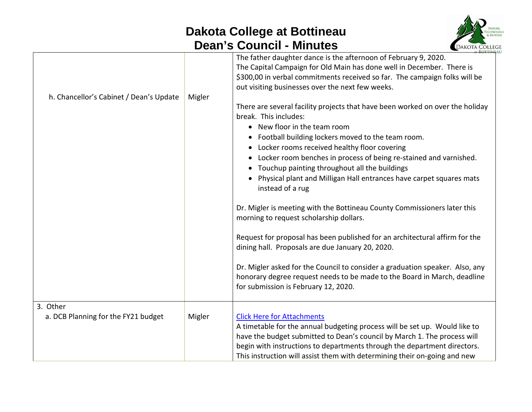

| h. Chancellor's Cabinet / Dean's Update         | Migler | The father daughter dance is the afternoon of February 9, 2020.<br>The Capital Campaign for Old Main has done well in December. There is<br>\$300,00 in verbal commitments received so far. The campaign folks will be<br>out visiting businesses over the next few weeks.<br>There are several facility projects that have been worked on over the holiday<br>break. This includes:<br>• New floor in the team room<br>• Football building lockers moved to the team room.<br>• Locker rooms received healthy floor covering<br>Locker room benches in process of being re-stained and varnished.<br>Touchup painting throughout all the buildings<br>• Physical plant and Milligan Hall entrances have carpet squares mats<br>instead of a rug |
|-------------------------------------------------|--------|--------------------------------------------------------------------------------------------------------------------------------------------------------------------------------------------------------------------------------------------------------------------------------------------------------------------------------------------------------------------------------------------------------------------------------------------------------------------------------------------------------------------------------------------------------------------------------------------------------------------------------------------------------------------------------------------------------------------------------------------------|
|                                                 |        | Dr. Migler is meeting with the Bottineau County Commissioners later this<br>morning to request scholarship dollars.                                                                                                                                                                                                                                                                                                                                                                                                                                                                                                                                                                                                                              |
|                                                 |        | Request for proposal has been published for an architectural affirm for the<br>dining hall. Proposals are due January 20, 2020.                                                                                                                                                                                                                                                                                                                                                                                                                                                                                                                                                                                                                  |
|                                                 |        | Dr. Migler asked for the Council to consider a graduation speaker. Also, any<br>honorary degree request needs to be made to the Board in March, deadline<br>for submission is February 12, 2020.                                                                                                                                                                                                                                                                                                                                                                                                                                                                                                                                                 |
| 3. Other<br>a. DCB Planning for the FY21 budget | Migler | <b>Click Here for Attachments</b><br>A timetable for the annual budgeting process will be set up. Would like to<br>have the budget submitted to Dean's council by March 1. The process will<br>begin with instructions to departments through the department directors.<br>This instruction will assist them with determining their on-going and new                                                                                                                                                                                                                                                                                                                                                                                             |